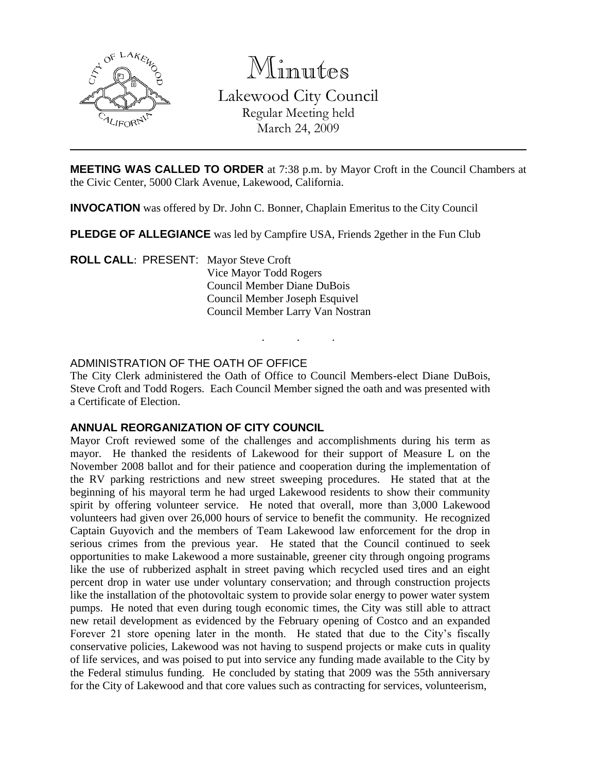

Minutes

Lakewood City Council Regular Meeting held March 24, 2009

**MEETING WAS CALLED TO ORDER** at 7:38 p.m. by Mayor Croft in the Council Chambers at the Civic Center, 5000 Clark Avenue, Lakewood, California.

**INVOCATION** was offered by Dr. John C. Bonner, Chaplain Emeritus to the City Council

**PLEDGE OF ALLEGIANCE** was led by Campfire USA, Friends 2gether in the Fun Club

**ROLL CALL**: PRESENT: Mayor Steve Croft Vice Mayor Todd Rogers Council Member Diane DuBois Council Member Joseph Esquivel Council Member Larry Van Nostran

# ADMINISTRATION OF THE OATH OF OFFICE

The City Clerk administered the Oath of Office to Council Members-elect Diane DuBois, Steve Croft and Todd Rogers. Each Council Member signed the oath and was presented with a Certificate of Election.

. . .

# **ANNUAL REORGANIZATION OF CITY COUNCIL**

Mayor Croft reviewed some of the challenges and accomplishments during his term as mayor. He thanked the residents of Lakewood for their support of Measure L on the November 2008 ballot and for their patience and cooperation during the implementation of the RV parking restrictions and new street sweeping procedures. He stated that at the beginning of his mayoral term he had urged Lakewood residents to show their community spirit by offering volunteer service. He noted that overall, more than 3,000 Lakewood volunteers had given over 26,000 hours of service to benefit the community. He recognized Captain Guyovich and the members of Team Lakewood law enforcement for the drop in serious crimes from the previous year. He stated that the Council continued to seek opportunities to make Lakewood a more sustainable, greener city through ongoing programs like the use of rubberized asphalt in street paving which recycled used tires and an eight percent drop in water use under voluntary conservation; and through construction projects like the installation of the photovoltaic system to provide solar energy to power water system pumps. He noted that even during tough economic times, the City was still able to attract new retail development as evidenced by the February opening of Costco and an expanded Forever 21 store opening later in the month. He stated that due to the City's fiscally conservative policies, Lakewood was not having to suspend projects or make cuts in quality of life services, and was poised to put into service any funding made available to the City by the Federal stimulus funding. He concluded by stating that 2009 was the 55th anniversary for the City of Lakewood and that core values such as contracting for services, volunteerism,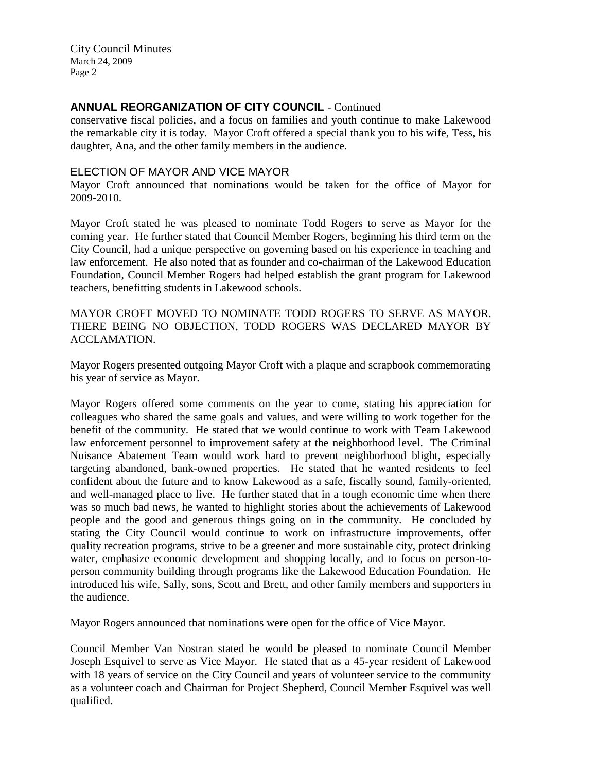# **ANNUAL REORGANIZATION OF CITY COUNCIL** - Continued

conservative fiscal policies, and a focus on families and youth continue to make Lakewood the remarkable city it is today. Mayor Croft offered a special thank you to his wife, Tess, his daughter, Ana, and the other family members in the audience.

### ELECTION OF MAYOR AND VICE MAYOR

Mayor Croft announced that nominations would be taken for the office of Mayor for 2009-2010.

Mayor Croft stated he was pleased to nominate Todd Rogers to serve as Mayor for the coming year. He further stated that Council Member Rogers, beginning his third term on the City Council, had a unique perspective on governing based on his experience in teaching and law enforcement. He also noted that as founder and co-chairman of the Lakewood Education Foundation, Council Member Rogers had helped establish the grant program for Lakewood teachers, benefitting students in Lakewood schools.

MAYOR CROFT MOVED TO NOMINATE TODD ROGERS TO SERVE AS MAYOR. THERE BEING NO OBJECTION, TODD ROGERS WAS DECLARED MAYOR BY ACCLAMATION.

Mayor Rogers presented outgoing Mayor Croft with a plaque and scrapbook commemorating his year of service as Mayor.

Mayor Rogers offered some comments on the year to come, stating his appreciation for colleagues who shared the same goals and values, and were willing to work together for the benefit of the community. He stated that we would continue to work with Team Lakewood law enforcement personnel to improvement safety at the neighborhood level. The Criminal Nuisance Abatement Team would work hard to prevent neighborhood blight, especially targeting abandoned, bank-owned properties. He stated that he wanted residents to feel confident about the future and to know Lakewood as a safe, fiscally sound, family-oriented, and well-managed place to live. He further stated that in a tough economic time when there was so much bad news, he wanted to highlight stories about the achievements of Lakewood people and the good and generous things going on in the community. He concluded by stating the City Council would continue to work on infrastructure improvements, offer quality recreation programs, strive to be a greener and more sustainable city, protect drinking water, emphasize economic development and shopping locally, and to focus on person-toperson community building through programs like the Lakewood Education Foundation. He introduced his wife, Sally, sons, Scott and Brett, and other family members and supporters in the audience.

Mayor Rogers announced that nominations were open for the office of Vice Mayor.

Council Member Van Nostran stated he would be pleased to nominate Council Member Joseph Esquivel to serve as Vice Mayor. He stated that as a 45-year resident of Lakewood with 18 years of service on the City Council and years of volunteer service to the community as a volunteer coach and Chairman for Project Shepherd, Council Member Esquivel was well qualified.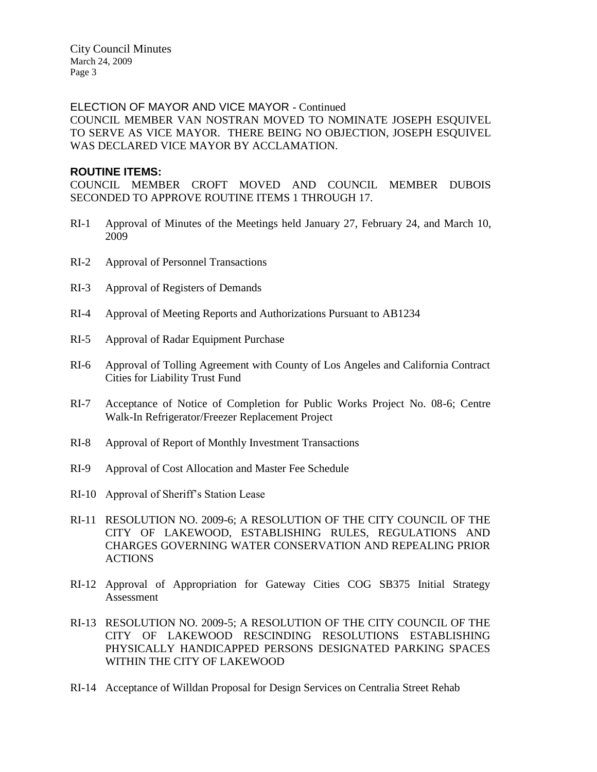### ELECTION OF MAYOR AND VICE MAYOR - Continued

COUNCIL MEMBER VAN NOSTRAN MOVED TO NOMINATE JOSEPH ESQUIVEL TO SERVE AS VICE MAYOR. THERE BEING NO OBJECTION, JOSEPH ESQUIVEL WAS DECLARED VICE MAYOR BY ACCLAMATION.

### **ROUTINE ITEMS:**

COUNCIL MEMBER CROFT MOVED AND COUNCIL MEMBER DUBOIS SECONDED TO APPROVE ROUTINE ITEMS 1 THROUGH 17.

- RI-1 Approval of Minutes of the Meetings held January 27, February 24, and March 10, 2009
- RI-2 Approval of Personnel Transactions
- RI-3 Approval of Registers of Demands
- RI-4 Approval of Meeting Reports and Authorizations Pursuant to AB1234
- RI-5 Approval of Radar Equipment Purchase
- RI-6 Approval of Tolling Agreement with County of Los Angeles and California Contract Cities for Liability Trust Fund
- RI-7 Acceptance of Notice of Completion for Public Works Project No. 08-6; Centre Walk-In Refrigerator/Freezer Replacement Project
- RI-8 Approval of Report of Monthly Investment Transactions
- RI-9 Approval of Cost Allocation and Master Fee Schedule
- RI-10 Approval of Sheriff's Station Lease
- RI-11 RESOLUTION NO. 2009-6; A RESOLUTION OF THE CITY COUNCIL OF THE CITY OF LAKEWOOD, ESTABLISHING RULES, REGULATIONS AND CHARGES GOVERNING WATER CONSERVATION AND REPEALING PRIOR ACTIONS
- RI-12 Approval of Appropriation for Gateway Cities COG SB375 Initial Strategy Assessment
- RI-13 RESOLUTION NO. 2009-5; A RESOLUTION OF THE CITY COUNCIL OF THE CITY OF LAKEWOOD RESCINDING RESOLUTIONS ESTABLISHING PHYSICALLY HANDICAPPED PERSONS DESIGNATED PARKING SPACES WITHIN THE CITY OF LAKEWOOD
- RI-14 Acceptance of Willdan Proposal for Design Services on Centralia Street Rehab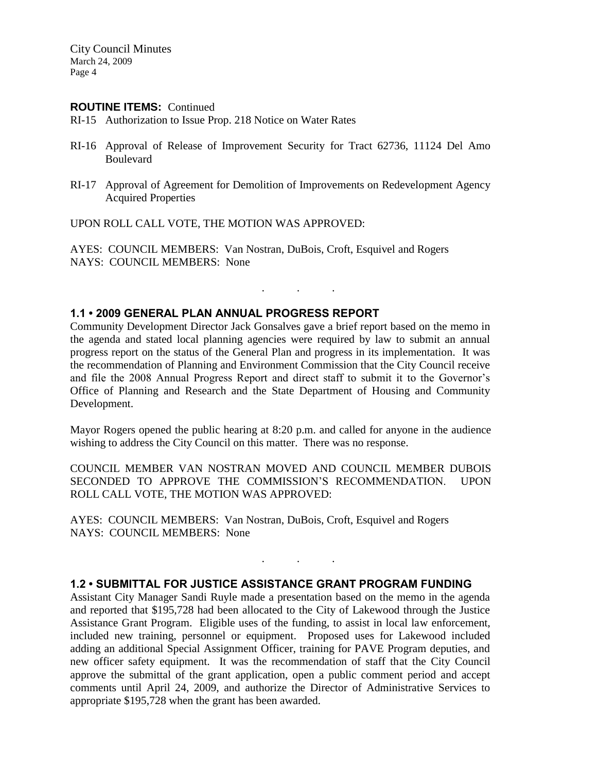#### **ROUTINE ITEMS:** Continued

RI-15 Authorization to Issue Prop. 218 Notice on Water Rates

- RI-16 Approval of Release of Improvement Security for Tract 62736, 11124 Del Amo Boulevard
- RI-17 Approval of Agreement for Demolition of Improvements on Redevelopment Agency Acquired Properties

UPON ROLL CALL VOTE, THE MOTION WAS APPROVED:

AYES: COUNCIL MEMBERS: Van Nostran, DuBois, Croft, Esquivel and Rogers NAYS: COUNCIL MEMBERS: None

# **1.1 • 2009 GENERAL PLAN ANNUAL PROGRESS REPORT**

Community Development Director Jack Gonsalves gave a brief report based on the memo in the agenda and stated local planning agencies were required by law to submit an annual progress report on the status of the General Plan and progress in its implementation. It was the recommendation of Planning and Environment Commission that the City Council receive and file the 2008 Annual Progress Report and direct staff to submit it to the Governor's Office of Planning and Research and the State Department of Housing and Community Development.

. . .

Mayor Rogers opened the public hearing at 8:20 p.m. and called for anyone in the audience wishing to address the City Council on this matter. There was no response.

COUNCIL MEMBER VAN NOSTRAN MOVED AND COUNCIL MEMBER DUBOIS SECONDED TO APPROVE THE COMMISSION'S RECOMMENDATION. UPON ROLL CALL VOTE, THE MOTION WAS APPROVED:

AYES: COUNCIL MEMBERS: Van Nostran, DuBois, Croft, Esquivel and Rogers NAYS: COUNCIL MEMBERS: None

#### **1.2 • SUBMITTAL FOR JUSTICE ASSISTANCE GRANT PROGRAM FUNDING**

. . .

Assistant City Manager Sandi Ruyle made a presentation based on the memo in the agenda and reported that \$195,728 had been allocated to the City of Lakewood through the Justice Assistance Grant Program. Eligible uses of the funding, to assist in local law enforcement, included new training, personnel or equipment. Proposed uses for Lakewood included adding an additional Special Assignment Officer, training for PAVE Program deputies, and new officer safety equipment. It was the recommendation of staff that the City Council approve the submittal of the grant application, open a public comment period and accept comments until April 24, 2009, and authorize the Director of Administrative Services to appropriate \$195,728 when the grant has been awarded.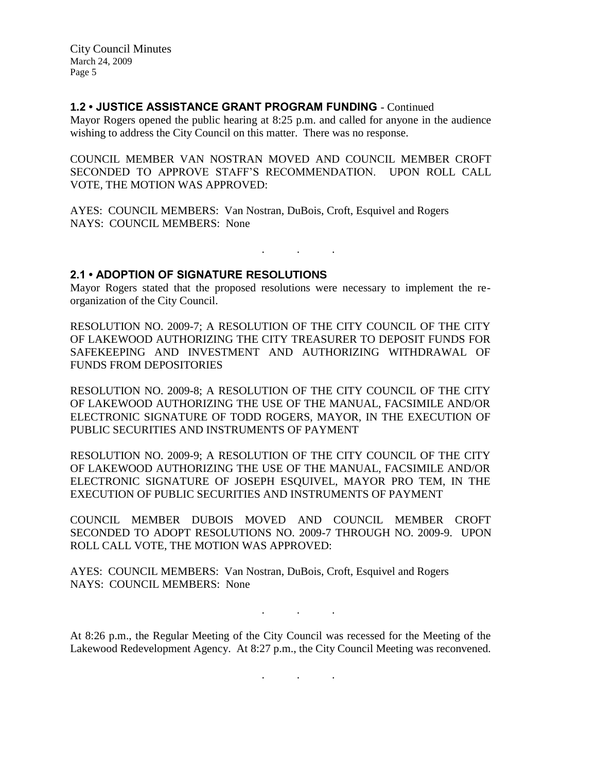### **1.2 • JUSTICE ASSISTANCE GRANT PROGRAM FUNDING** - Continued

Mayor Rogers opened the public hearing at 8:25 p.m. and called for anyone in the audience wishing to address the City Council on this matter. There was no response.

COUNCIL MEMBER VAN NOSTRAN MOVED AND COUNCIL MEMBER CROFT SECONDED TO APPROVE STAFF'S RECOMMENDATION. UPON ROLL CALL VOTE, THE MOTION WAS APPROVED:

AYES: COUNCIL MEMBERS: Van Nostran, DuBois, Croft, Esquivel and Rogers NAYS: COUNCIL MEMBERS: None

#### **2.1 • ADOPTION OF SIGNATURE RESOLUTIONS**

Mayor Rogers stated that the proposed resolutions were necessary to implement the reorganization of the City Council.

. . .

RESOLUTION NO. 2009-7; A RESOLUTION OF THE CITY COUNCIL OF THE CITY OF LAKEWOOD AUTHORIZING THE CITY TREASURER TO DEPOSIT FUNDS FOR SAFEKEEPING AND INVESTMENT AND AUTHORIZING WITHDRAWAL OF FUNDS FROM DEPOSITORIES

RESOLUTION NO. 2009-8; A RESOLUTION OF THE CITY COUNCIL OF THE CITY OF LAKEWOOD AUTHORIZING THE USE OF THE MANUAL, FACSIMILE AND/OR ELECTRONIC SIGNATURE OF TODD ROGERS, MAYOR, IN THE EXECUTION OF PUBLIC SECURITIES AND INSTRUMENTS OF PAYMENT

RESOLUTION NO. 2009-9; A RESOLUTION OF THE CITY COUNCIL OF THE CITY OF LAKEWOOD AUTHORIZING THE USE OF THE MANUAL, FACSIMILE AND/OR ELECTRONIC SIGNATURE OF JOSEPH ESQUIVEL, MAYOR PRO TEM, IN THE EXECUTION OF PUBLIC SECURITIES AND INSTRUMENTS OF PAYMENT

COUNCIL MEMBER DUBOIS MOVED AND COUNCIL MEMBER CROFT SECONDED TO ADOPT RESOLUTIONS NO. 2009-7 THROUGH NO. 2009-9. UPON ROLL CALL VOTE, THE MOTION WAS APPROVED:

AYES: COUNCIL MEMBERS: Van Nostran, DuBois, Croft, Esquivel and Rogers NAYS: COUNCIL MEMBERS: None

At 8:26 p.m., the Regular Meeting of the City Council was recessed for the Meeting of the Lakewood Redevelopment Agency. At 8:27 p.m., the City Council Meeting was reconvened.

. . .

. . .